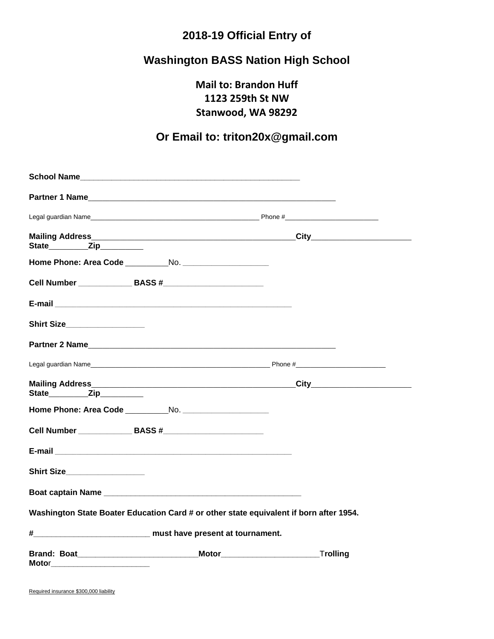## **2018-19 Official Entry of**

## **Washington BASS Nation High School**

**Mail to: Brandon Huff 1123 259th St NW Stanwood, WA 98292**

## **Or Email to: triton20x@gmail.com**

|                                    | Cell Number ________________ BASS #_________________________                           |  |
|------------------------------------|----------------------------------------------------------------------------------------|--|
|                                    |                                                                                        |  |
| Shirt Size___________________      |                                                                                        |  |
|                                    | Partner 2 Name                                                                         |  |
|                                    |                                                                                        |  |
| State____________Zip___________    |                                                                                        |  |
|                                    | Home Phone: Area Code No.                                                              |  |
|                                    | Cell Number ________________ BASS #________________________                            |  |
|                                    |                                                                                        |  |
| Shirt Size___________________      |                                                                                        |  |
|                                    |                                                                                        |  |
|                                    | Washington State Boater Education Card # or other state equivalent if born after 1954. |  |
| # must have present at tournament. |                                                                                        |  |
| Motor__________________________    | Brand: Boat Trolling Motor Motor Motor Trolling                                        |  |

Required insurance \$300,000 liability